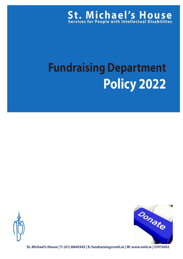

# **Fundraising Department Policy 2022**





**St. Michael's House | T: (01) 8840345 | E: fundraising@smh.ie | W: www.smh.ie | CHY5692**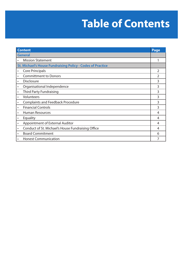# **Table of Contents**

| <b>Content</b>                                                    |                                                   | Page           |
|-------------------------------------------------------------------|---------------------------------------------------|----------------|
| <b>General</b>                                                    |                                                   |                |
|                                                                   | <b>Mission Statement</b>                          |                |
| <b>St. Michael's House Fundraising Policy - Codes of Practice</b> |                                                   |                |
| $\bullet$                                                         | <b>Core Principals</b>                            | $\overline{2}$ |
| $\bullet$                                                         | <b>Committment to Donors</b>                      | 2              |
| $\bullet$                                                         | <b>Disclosure</b>                                 | 3              |
| $\bullet$                                                         | Organisational Independence                       | 3              |
| $\bullet$                                                         | <b>Third Party Fundraising</b>                    | 3              |
| $\bullet$                                                         | Volunteers                                        | 3              |
| $\bullet$                                                         | <b>Complaints and Feedback Procedure</b>          | 3              |
| $\bullet$                                                         | <b>Financial Controls</b>                         | 3              |
| $\bullet$                                                         | <b>Human Resources</b>                            | 4              |
| $\bullet$                                                         | Equality                                          | 4              |
| $\bullet$                                                         | <b>Appointment of External Auditor</b>            | 4              |
| $\bullet$                                                         | Conduct of St. Michael's House Fundraising Office | 4              |
| $\bullet$                                                         | <b>Board Commitment</b>                           | 6              |
| $\bullet$                                                         | <b>Honest Communication</b>                       |                |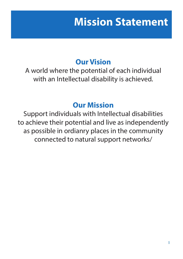## **Mission Statement**

### **Our Vision**

A world where the potential of each individual with an Intellectual disability is achieved.

### **Our Mission**

Support individuals with Intellectual disabilities to achieve their potential and live as independently as possible in ordianry places in the community connected to natural support networks/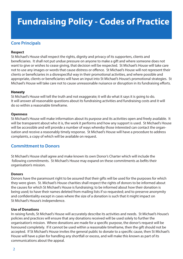#### **Core Principals**

#### **Respect**

St Michael's House shall respect the rights, dignity and privacy of its supporters, clients and beneficiaries. It shall not put undue pressure on anyone to make a gift and where someone does not want to give or wishes to cease giving, that decision will be respected. St Michael's House will take care not to use any images or words that cause distress or offence. St Michael's House will not represent their clients or beneficiaries in a disrespectful way in their promotional activities, and where possible and appropriate, clients or beneficiaries will have an input into St Michael's House's promotional strategies. St Michael's House will take care not to cause unreasonable nuisance or disruption in its fundraising efforts.

#### **Honesty**

St Michael's House will tell the truth and not exaggerate; it will do what it says it is going to do. It will answer all reasonable questions about its fundraising activities and fundraising costs and it will do so within a reasonable timeframe.

#### **Openness**

St Michael's House will make information about its purpose and its activities open and freely available. It will be transparent about who it is, the work it performs and how any support is used. St Michael's House will be accessible and will provide a number of ways whereby those interested can contact the organisation and receive a reasonably timely response. St Michael's House will have a procedure to address complaints, a copy of which will be available on request.

#### **Committment to Donors**

St Michael's House shall agree and make known its own Donor's Charter which will include the following commitments. St Michael's House may expand on these commitments as befits their organisation's mission.

#### **Donors**

Donors have the paramount right to be assured that their gifts will be used for the purposes for which they were given. St. Michael's House charities shall respect the rights of donors to be informed about the causes for which St Michael's House is fundraising; to be informed about how their donation is being used; to have their names deleted from mailing lists if so requested; and to preserve anonymity and confidentiality except in cases where the size of a donation is such that it might impact on St Michael's House's independence.

#### **Use of Donations**

In raising funds, St Michael's House will accurately describe its activities and needs. St Michael's House's policies and practices will ensure that any donations received will be used solely to further the organisation's mission. Where donations are made for a specific purpose, the donor's request will be honoured completely. If it cannot be used within a reasonable timeframe, then the gift should not be accepted. If St Michael's House invites the general public to donate to a specific cause, then St Michael's House will have a plan for handling any shortfall or excess, and will make this known as part of its communications about the appeal.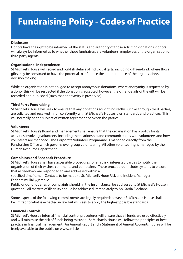#### **Disclosure**

Donors have the right to be informed of the status and authority of those soliciting donations; donors will always be informed as to whether these fundraisers are volunteers, employees of the organisation or third party agents.

#### **Organisational Independence**

St Michael's House will record and publish details of individual gifts, including gifts-in-kind; where those gifts may be construed to have the potential to influence the independence of the organisation's decision making.

While an organisation is not obliged to accept anonymous donations, where anonymity is requested by a donor this will be respected if the donation is accepted, however the other details of the gift will be recorded and published (such that anonymity is preserved).

#### **Third Party Fundraising**

St Michael's House will seek to ensure that any donations sought indirectly, such as through third parties, are solicited and received in full conformity with St Michael's House's own standards and practices. This will normally be the subject of written agreement between the parties.

#### **Volunteers**

St Michael's House's Board and management shall ensure that the organisation has a policy for its activities involving volunteers, including the relationship and communications with volunteers and how volunteers are managed. The Corporate Volunteer Programme is managed directly from the Fundraising Office which governs over group volunteering. All other volunteering is managed by the Human Resource Department.

#### **Complaints and Feedback Procedure**

St Michael's House shall have accessible procedures for enabling interested parties to notify the organisation of their wishes, comments and complaints. These procedures include systems to ensure that all feedback are responded to and addressed within a

specified timeframe. Contacts to be made to St. Michael's Houe Risk and Incident Manager Feabhra.mullally@smh.ie .

Public or donor queries or complaints should, in the first instance, be addressed to St Michael's House in question. All matters of illegality should be addressed immediately to An Garda Siochána.

Some aspects of the following commitments are legally required; however St Michael's House shall not be limited to what is expected in law but will seek to apply the highest possible standards.

#### **Financial Controls**

St Michael's House's internal financial control procedures will ensure that all funds are used effectively and will minimise the risk of funds being misused. St Michael's House will follow the principles of best practice in financial management. An Annual Report and a Statement of Annual Accounts figures will be freely available to the public on www.smh.ie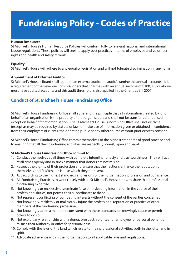#### **Human Resources**

St Michael's House's Human Resource Policies will conform fully to relevant national and international labour regulations. These policies will seek to apply best practices in terms of employee and volunteer rights and health and safety at work.

#### **Equality**

St Michael's House will adhere to any equality legislation and will not tolerate discrimination in any form.

#### **Appointment of External Auditor**

St Michael's House's Board shall appoint an external auditor to audit/examine the annual accounts. It is a requirement of the Revenue Commissioners that charities with an annual income of €100,000 or above must have audited accounts and this audit threshold is also applied in the Charities Bill 2007.

#### **Conduct of St. Michael's House Fundraising Office**

St Michael's House Fundraising Office shall adhere to the principle that all information created by, or on behalf of an organisation is the property of that organisation and shall not be transferred or utilised except on behalf of that organisation. The St Michael's House Fundraising Office shall not disclose (except as may be required by statute or law) or make use of information given or obtained in confidence from their employers or clients, the donating public or any other source without prior express consent.

St Michael's House Fundraising Office commit themselves to the highest standards of good practice and to ensuring that all their fundraising activities are respectful, honest, open and legal.

#### **St Michael's House Fundraising Office commit to:**

- 1. Conduct themselves at all times with complete integrity, honesty and trustworthiness. They will act at all times openly and in such a manner that donors are not misled.
- 2. Respect the dignity of their profession and ensure that their actions enhance the reputation of themselves and St Michael's House which they represent.
- 3. Act according to the highest standards and visions of their organisation, profession and conscience.
- 4. All Fundraising Practices to work closely with all St Michael's House units, to share that professional fundraising expertise.
- 5. Not knowingly or recklessly disseminate false or misleading information in the course of their professional duties, nor permit their subordinates to do so.
- 6. Not represent conflicting or competing interests without the consent of the parties concerned.
- 7. Not knowingly, recklessly or maliciously injure the professional reputation or practice of other members of the fundraising profession.
- 8. Not knowingly act in a manner inconsistent with these standards, or knowingly cause or permit others to do so.
- 9. Not exploit any relationship with a donor, prospect, volunteer or employee for personal benefit or misuse their authority or office for personal gain.
- 10. Comply with the laws of the land which relate to their professional activities, both in the letter and in spirit.
- 11. Advocate adherence within their organisation to all applicable laws and regulations.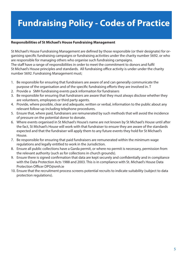#### **Responsibilities of St Michael's House Fundraising Management**

St Michael's House Fundraising Management are defined by those responsible (or their designate) for organising specific fundraising campaigns or fundraising activities under the charity number 5692. or who are responsible for managing others who organise such fundraising campaigns. The staff have a range of responsibilities in order to meet the commitment to donors and fulfil St Michael's House principles and standards. All fundraising office activity is under under the charity number 5692. Fundraising Management must;

- 1. Be responsible for ensuring that fundraisers are aware of and can generally communicate the purpose of the organisation and of the specific fundraising efforts they are involved in. T
- 2. Provide a SMH fundraising events pack informaiton for fundraisers
- 3. Be responsible for ensuring that fundraisers are aware that they must always disclose whether they are volunteers, employees or third party agents.
- 4. Provide, where possible, clear and adequate, written or verbal, information to the public about any relevant follow-up including telephone procedures.
- 5. Ensure that, where paid, fundraisers are remunerated by such methods that will avoid the incidence of pressure on the potential donor to donate.
- 6. Where events organised in St Michael's House's name are not known by St Michael's House until after the fact, St Michael's House will work with that fundraiser to ensure they are aware of the standards expected and that the fundraiser will apply them to any future events they hold for St Michael's House.
- 7. Be responsible for ensuring that paid fundraisers are remunerated within the minimum wage regulations and legally entitled to work in the Jurisdiction.
- 8. Ensure all public collections have a Garda permit, or where no permit is necessary, permission from the relevant authority (such as for collections in church grounds).
- 9. Ensure there is signed confirmation that data are kept securely and confidentially and in compliance with the Data Protection Acts 1988 and 2003. This is in compliance with St. Michael's House Data Protection Officer DPO@smh.ie
- 10. Ensure that the recruitment process screens potential recruits to indicate suitability (subject to data protection regulations).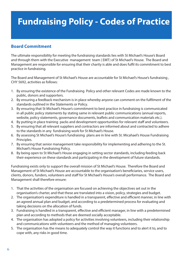#### **Board Commitment**

The ultimate responsibility for meeting the fundraising standards lies with St Michael's House's Board and through them with the Executive management team ( EMT) of St Michael's House. The Board and Management are responsible for ensuring that their charity is able and does fulfil its commitment to best practice in fundraising.

The Board and Management of St Michael's House are accountable for St Michael's House's fundraising , CHY 5692, activities as follows:

- 1. By ensuring the existence of the Fundraising Policy and other relevant Codes are made known to the public, donors and supporters.
- 2. By ensuring a feedback mechanism is in place whereby anyone can comment on the fulfilment of the standards outlined in the Statements or Policy.
- 3. By ensuring that St Michael's House's commitment to best practice in fundraising is communicated in all public policy statements by stating same in relevant public communications (annual reports, website, policy statements, governance documents, leaflets and communication materials etc.).
- 4. By putting in place training packs and development opportunities for relevant staff and volunteers.
- 5. By ensuring that all relevant suppliers and contractors are informed about and contracted to adhere to the standards in any fundraising work for St Michael's House.
- 6. By assessing St Michael's House's fundraising plans are in line with St. Micahael's House Fundraising Principles.
- 7. By ensuring that senior management take responsibility for implementing and adhering to the St. Michael's House Fundraising Policy.
- 8. By being open to St Michael's House engaging in setting sector standards, including feeding back their experience on these standards and participating in the development of future standards.

Fundraising exists only to support the overall mission of St Michael's House. Therefore the Board and Management of St Michael's House are accountable to the organisation's beneficiaries, service users, clients, donors, funders, volunteers and staff for St Michael's House's overall performance. The Board and Management shall therefore ensure:

- 1. That the activities of the organisation are focused on achieving the objectives set out in the organisation's charter, and that these are translated into a vision, policy, strategies and budget.
- 2. The organisation's expenditure is handled in a transparent, effective and efficient manner, in line with an agreed annual plan and budget, and according to a predetermined process for evaluating and taking decisions on the allocation of funds.
- 3. Fundraising is handled in a transparent, effective and efficient manager, in line with a predetermined plan and according to methods that are deemed socially acceptable.
- 4. The organisation has adopted a policy for activities involving volunteers, including their relationship and communications with volunteers and the method of managing volunteers.
- 5. The organisation has the means to adequately control the way it functions and to alert it to, and to cope with, any risks in good time.